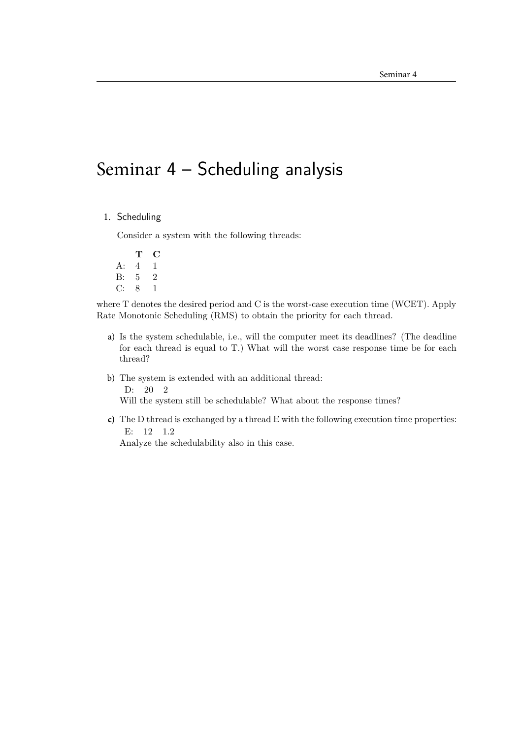## Seminar 4 – Scheduling analysis

1. Scheduling

Consider a system with the following threads:

**T C** A: 4 1 B: 5 2 C: 8 1

where T denotes the desired period and C is the worst-case execution time (WCET). Apply Rate Monotonic Scheduling (RMS) to obtain the priority for each thread.

- a) Is the system schedulable, i.e., will the computer meet its deadlines? (The deadline for each thread is equal to T.) What will the worst case response time be for each thread?
- b) The system is extended with an additional thread: D: 20 2 Will the system still be schedulable? What about the response times?
- **c)** The D thread is exchanged by a thread E with the following execution time properties: E: 12 1.2

Analyze the schedulability also in this case.